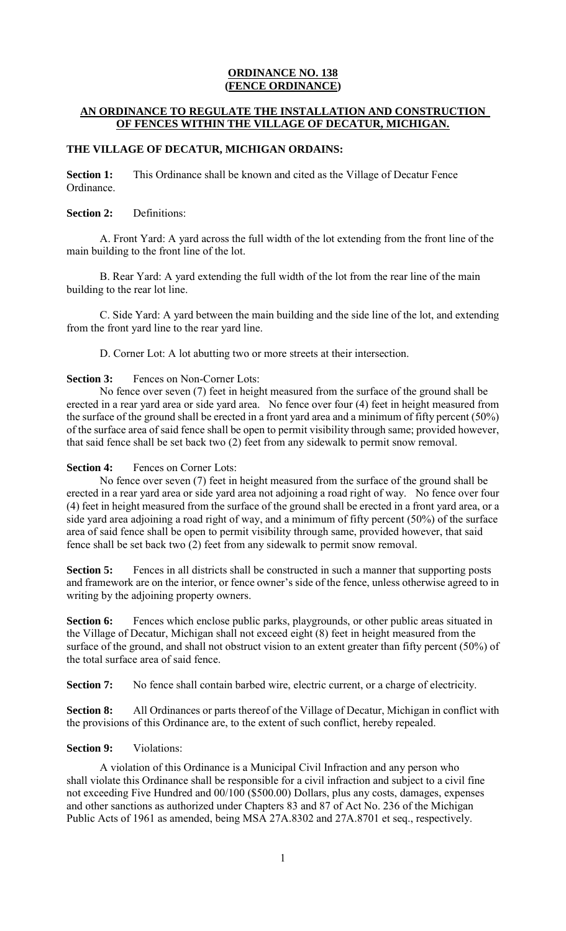# **ORDINANCE NO. 138 (FENCE ORDINANCE)**

## **AN ORDINANCE TO REGULATE THE INSTALLATION AND CONSTRUCTION OF FENCES WITHIN THE VILLAGE OF DECATUR, MICHIGAN.**

### **THE VILLAGE OF DECATUR, MICHIGAN ORDAINS:**

**Section 1:** This Ordinance shall be known and cited as the Village of Decatur Fence Ordinance.

#### **Section 2:** Definitions:

A. Front Yard: A yard across the full width of the lot extending from the front line of the main building to the front line of the lot.

B. Rear Yard: A yard extending the full width of the lot from the rear line of the main building to the rear lot line.

C. Side Yard: A yard between the main building and the side line of the lot, and extending from the front yard line to the rear yard line.

D. Corner Lot: A lot abutting two or more streets at their intersection.

### **Section 3:** Fences on Non-Corner Lots:

No fence over seven (7) feet in height measured from the surface of the ground shall be erected in a rear yard area or side yard area. No fence over four (4) feet in height measured from the surface of the ground shall be erected in a front yard area and a minimum of fifty percent (50%) of the surface area of said fence shall be open to permit visibility through same; provided however, that said fence shall be set back two (2) feet from any sidewalk to permit snow removal.

### **Section 4:** Fences on Corner Lots:

No fence over seven (7) feet in height measured from the surface of the ground shall be erected in a rear yard area or side yard area not adjoining a road right of way. No fence over four (4) feet in height measured from the surface of the ground shall be erected in a front yard area, or a side yard area adjoining a road right of way, and a minimum of fifty percent (50%) of the surface area of said fence shall be open to permit visibility through same, provided however, that said fence shall be set back two (2) feet from any sidewalk to permit snow removal.

**Section 5:** Fences in all districts shall be constructed in such a manner that supporting posts and framework are on the interior, or fence owner's side of the fence, unless otherwise agreed to in writing by the adjoining property owners.

**Section 6:** Fences which enclose public parks, playgrounds, or other public areas situated in the Village of Decatur, Michigan shall not exceed eight (8) feet in height measured from the surface of the ground, and shall not obstruct vision to an extent greater than fifty percent (50%) of the total surface area of said fence.

**Section 7:** No fence shall contain barbed wire, electric current, or a charge of electricity.

**Section 8:** All Ordinances or parts thereof of the Village of Decatur, Michigan in conflict with the provisions of this Ordinance are, to the extent of such conflict, hereby repealed.

# **Section 9:** Violations:

A violation of this Ordinance is a Municipal Civil Infraction and any person who shall violate this Ordinance shall be responsible for a civil infraction and subject to a civil fine not exceeding Five Hundred and 00/100 (\$500.00) Dollars, plus any costs, damages, expenses and other sanctions as authorized under Chapters 83 and 87 of Act No. 236 of the Michigan Public Acts of 1961 as amended, being MSA 27A.8302 and 27A.8701 et seq., respectively.